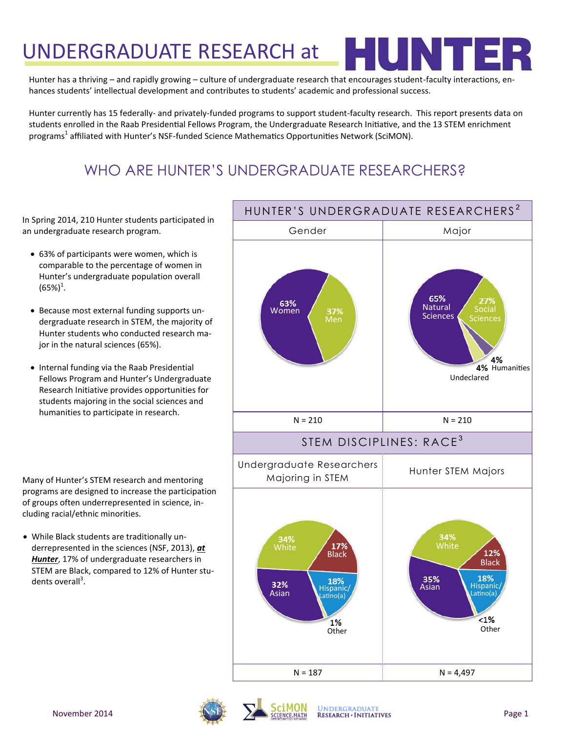# UNDERGRADUATE RESEARCH at

Hunter has a thriving – and rapidly growing – culture of undergraduate research that encourages student-faculty interactions, enhances students' intellectual development and contributes to students' academic and professional success.

Hunter currently has 15 federally- and privately-funded programs to support student-faculty research. This report presents data on students enrolled in the Raab Presidential Fellows Program, the Undergraduate Research Initiative, and the 13 STEM enrichment programs<sup>1</sup> affiliated with Hunter's NSF-funded Science Mathematics Opportunities Network (SciMON).

## WHO ARE HUNTER'S UNDERGRADUATE RESEARCHERS?

In Spring 2014, 210 Hunter students participated in an undergraduate research program.

- 63% of participants were women, which is comparable to the percentage of women in Hunter's undergraduate population overall  $(65%)^1$ .
- Because most external funding supports undergraduate research in STEM, the majority of Hunter students who conducted research major in the natural sciences (65%).
- Internal funding via the Raab Presidential Fellows Program and Hunter's Undergraduate Research Initiative provides opportunities for students majoring in the social sciences and humanities to participate in research.

Many of Hunter's STEM research and mentoring programs are designed to increase the participation of groups often underrepresented in science, including racial/ethnic minorities.

 While Black students are traditionally underrepresented in the sciences (NSF, 2013), *at Hunter*, 17% of undergraduate researchers in STEM are Black, compared to 12% of Hunter students overall<sup>3</sup>.



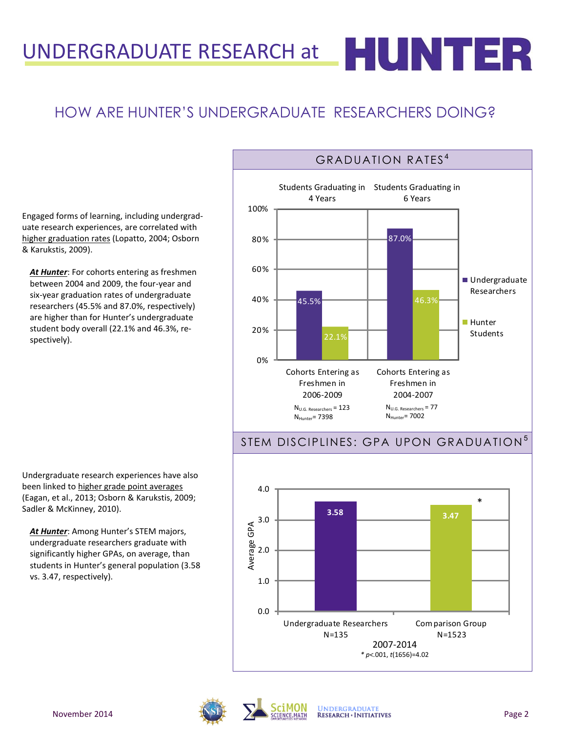## HOW ARE HUNTER'S UNDERGRADUATE RESEARCHERS DOING?

Engaged forms of learning, including undergraduate research experiences, are correlated with higher graduation rates (Lopatto, 2004; Osborn & Karukstis, 2009).

*At Hunter*: For cohorts entering as freshmen between 2004 and 2009, the four-year and six-year graduation rates of undergraduate researchers (45.5% and 87.0%, respectively) are higher than for Hunter's undergraduate student body overall (22.1% and 46.3%, respectively).



### STEM DISCIPLINES: GPA UPON GRADUATION<sup>5</sup>

**3.58 3.47** 0.0 1.0 2.0 3.0 4.0 Undergraduate Researchers N=135 Com parison Group N=1523 Average GPA \* 2007-2014 *\* p<.*001, *t*(1656)=4.02

Undergraduate research experiences have also been linked to higher grade point averages (Eagan, et al., 2013; Osborn & Karukstis, 2009; Sadler & McKinney, 2010).

At Hunter: Among Hunter's STEM majors, undergraduate researchers graduate with significantly higher GPAs, on average, than students in Hunter's general population (3.58 vs. 3.47, respectively).



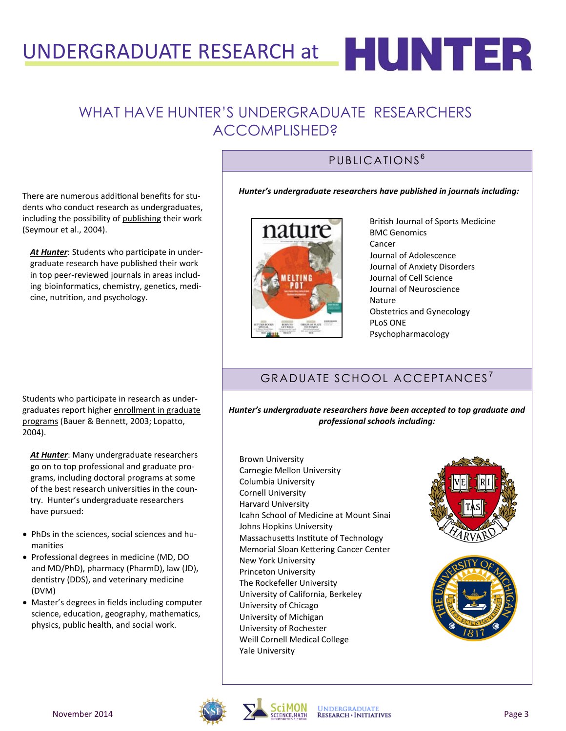# UNDERGRADUATE RESEARCH at  $\blacksquare$   $\blacksquare$   $\blacksquare$   $\blacksquare$   $\blacksquare$   $\blacksquare$

## WHAT HAVE HUNTER'S UNDERGRADUATE RESEARCHERS ACCOMPLISHED?

### PUBLICATIONS<sup>6</sup>

There are numerous additional benefits for students who conduct research as undergraduates, including the possibility of publishing their work (Seymour et al., 2004).

*At Hunter*: Students who participate in undergraduate research have published their work in top peer-reviewed journals in areas including bioinformatics, chemistry, genetics, medicine, nutrition, and psychology.

*Hunter's undergraduate researchers have published in journals including:* 



British Journal of Sports Medicine BMC Genomics Cancer Journal of Adolescence Journal of Anxiety Disorders Journal of Cell Science Journal of Neuroscience Nature Obstetrics and Gynecology PLoS ONE Psychopharmacology

## GRADUATE SCHOOL ACCEPTANCES<sup>7</sup>

*Hunter's undergraduate researchers have been accepted to top graduate and professional schools including:*

Brown University Carnegie Mellon University Columbia University Cornell University Harvard University Icahn School of Medicine at Mount Sinai Johns Hopkins University Massachusetts Institute of Technology Memorial Sloan Kettering Cancer Center New York University Princeton University The Rockefeller University University of California, Berkeley University of Chicago University of Michigan University of Rochester Weill Cornell Medical College Yale University





Students who participate in research as undergraduates report higher enrollment in graduate programs (Bauer & Bennett, 2003; Lopatto, 2004).

*At Hunter*: Many undergraduate researchers go on to top professional and graduate programs, including doctoral programs at some of the best research universities in the country. Hunter's undergraduate researchers have pursued:

- PhDs in the sciences, social sciences and humanities
- Professional degrees in medicine (MD, DO and MD/PhD), pharmacy (PharmD), law (JD), dentistry (DDS), and veterinary medicine (DVM)
- Master's degrees in fields including computer science, education, geography, mathematics, physics, public health, and social work.